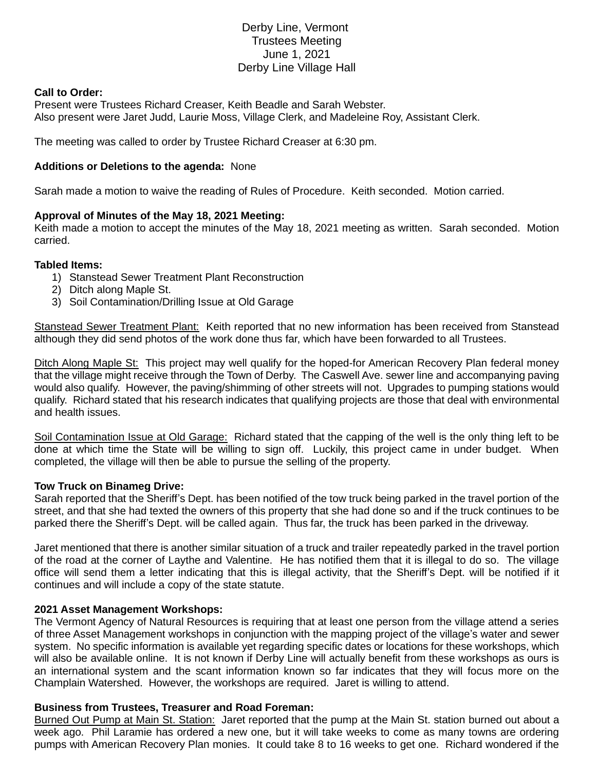# Derby Line, Vermont Trustees Meeting June 1, 2021 Derby Line Village Hall

## **Call to Order:**

Present were Trustees Richard Creaser, Keith Beadle and Sarah Webster. Also present were Jaret Judd, Laurie Moss, Village Clerk, and Madeleine Roy, Assistant Clerk.

The meeting was called to order by Trustee Richard Creaser at 6:30 pm.

### **Additions or Deletions to the agenda:** None

Sarah made a motion to waive the reading of Rules of Procedure. Keith seconded. Motion carried.

## **Approval of Minutes of the May 18, 2021 Meeting:**

Keith made a motion to accept the minutes of the May 18, 2021 meeting as written. Sarah seconded. Motion carried.

#### **Tabled Items:**

- 1) Stanstead Sewer Treatment Plant Reconstruction
- 2) Ditch along Maple St.
- 3) Soil Contamination/Drilling Issue at Old Garage

Stanstead Sewer Treatment Plant: Keith reported that no new information has been received from Stanstead although they did send photos of the work done thus far, which have been forwarded to all Trustees.

Ditch Along Maple St: This project may well qualify for the hoped-for American Recovery Plan federal money that the village might receive through the Town of Derby. The Caswell Ave. sewer line and accompanying paving would also qualify. However, the paving/shimming of other streets will not. Upgrades to pumping stations would qualify. Richard stated that his research indicates that qualifying projects are those that deal with environmental and health issues.

Soil Contamination Issue at Old Garage: Richard stated that the capping of the well is the only thing left to be done at which time the State will be willing to sign off. Luckily, this project came in under budget. When completed, the village will then be able to pursue the selling of the property.

#### **Tow Truck on Binameg Drive:**

Sarah reported that the Sheriff's Dept. has been notified of the tow truck being parked in the travel portion of the street, and that she had texted the owners of this property that she had done so and if the truck continues to be parked there the Sheriff's Dept. will be called again. Thus far, the truck has been parked in the driveway.

Jaret mentioned that there is another similar situation of a truck and trailer repeatedly parked in the travel portion of the road at the corner of Laythe and Valentine. He has notified them that it is illegal to do so. The village office will send them a letter indicating that this is illegal activity, that the Sheriff's Dept. will be notified if it continues and will include a copy of the state statute.

## **2021 Asset Management Workshops:**

The Vermont Agency of Natural Resources is requiring that at least one person from the village attend a series of three Asset Management workshops in conjunction with the mapping project of the village's water and sewer system. No specific information is available yet regarding specific dates or locations for these workshops, which will also be available online. It is not known if Derby Line will actually benefit from these workshops as ours is an international system and the scant information known so far indicates that they will focus more on the Champlain Watershed. However, the workshops are required. Jaret is willing to attend.

## **Business from Trustees, Treasurer and Road Foreman:**

Burned Out Pump at Main St. Station: Jaret reported that the pump at the Main St. station burned out about a week ago. Phil Laramie has ordered a new one, but it will take weeks to come as many towns are ordering pumps with American Recovery Plan monies. It could take 8 to 16 weeks to get one. Richard wondered if the